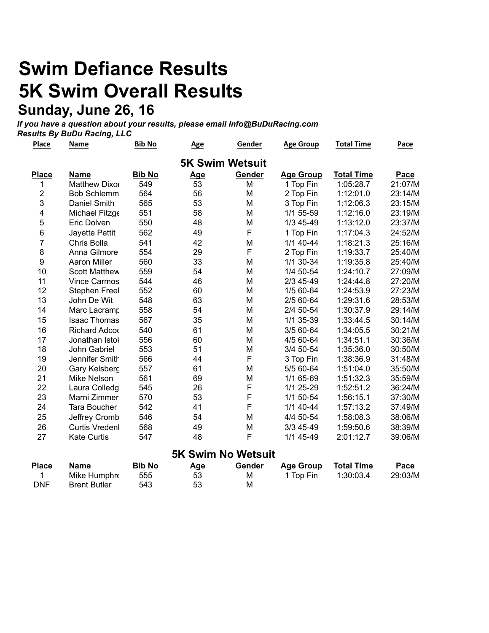# **Swim Defiance Results 5K Swim Overall Results Sunday, June 26, 16**

*If you have a question about your results, please email Info@BuDuRacing.com Results By BuDu Racing, LLC*

| Place                   | Name                  | <b>Bib No</b> | <b>Age</b> | Gender                                  | <b>Age Group</b> | <b>Total Time</b> | Pace    |
|-------------------------|-----------------------|---------------|------------|-----------------------------------------|------------------|-------------------|---------|
|                         |                       |               |            | <b>5K Swim Wetsuit</b>                  |                  |                   |         |
| <b>Place</b>            | Name                  | <b>Bib No</b> | <u>Age</u> | Gender                                  | <b>Age Group</b> | <b>Total Time</b> | Pace    |
| 1                       | <b>Matthew Dixor</b>  | 549           | 53         | M                                       | 1 Top Fin        | 1:05:28.7         | 21:07/M |
| $\boldsymbol{2}$        | <b>Bob Schlemm</b>    | 564           | 56         | M                                       | 2 Top Fin        | 1:12:01.0         | 23:14/M |
| 3                       | Daniel Smith          | 565           | 53         | M                                       | 3 Top Fin        | 1:12:06.3         | 23:15/M |
| $\overline{\mathbf{4}}$ | Michael Fitzge        | 551           | 58         | M                                       | 1/1 55-59        | 1:12:16.0         | 23:19/M |
| 5                       | Eric Dolven           | 550           | 48         | M                                       | 1/3 45-49        | 1:13:12.0         | 23:37/M |
| $\,6$                   | Jayette Pettit        | 562           | 49         | F                                       | 1 Top Fin        | 1:17:04.3         | 24:52/M |
| 7                       | Chris Bolla           | 541           | 42         | M                                       | $1/1$ 40-44      | 1:18:21.3         | 25:16/M |
| $\bf 8$                 | Anna Gilmore          | 554           | 29         | F                                       | 2 Top Fin        | 1:19:33.7         | 25:40/M |
| $\boldsymbol{9}$        | <b>Aaron Miller</b>   | 560           | 33         | M                                       | 1/1 30-34        | 1:19:35.8         | 25:40/M |
| 10                      | <b>Scott Matthew</b>  | 559           | 54         | M                                       | 1/4 50-54        | 1:24:10.7         | 27:09/M |
| 11                      | <b>Vince Carmos</b>   | 544           | 46         | M                                       | 2/3 45-49        | 1:24:44.8         | 27:20/M |
| 12                      | <b>Stephen Freel</b>  | 552           | 60         | M                                       | 1/5 60-64        | 1:24:53.9         | 27:23/M |
| 13                      | John De Wit           | 548           | 63         | M                                       | 2/5 60-64        | 1:29:31.6         | 28:53/M |
| 14                      | Marc Lacramp          | 558           | 54         | M                                       | 2/4 50-54        | 1:30:37.9         | 29:14/M |
| 15                      | <b>Isaac Thomas</b>   | 567           | 35         | M                                       | 1/1 35-39        | 1:33:44.5         | 30:14/M |
| 16                      | <b>Richard Adcod</b>  | 540           | 61         | M                                       | 3/5 60-64        | 1:34:05.5         | 30:21/M |
| 17                      | Jonathan Istol        | 556           | 60         | M                                       | 4/5 60-64        | 1:34:51.1         | 30:36/M |
| 18                      | John Gabriel          | 553           | 51         | M                                       | 3/4 50-54        | 1:35:36.0         | 30:50/M |
| 19                      | Jennifer Smith        | 566           | 44         | F                                       | 3 Top Fin        | 1:38:36.9         | 31:48/M |
| 20                      | Gary Kelsberg         | 557           | 61         | M                                       | 5/5 60-64        | 1:51:04.0         | 35:50/M |
| 21                      | <b>Mike Nelson</b>    | 561           | 69         | M                                       | 1/1 65-69        | 1:51:32.3         | 35:59/M |
| 22                      | Laura Colledg         | 545           | 26         | F                                       | 1/1 25-29        | 1:52:51.2         | 36:24/M |
| 23                      | Marni Zimmer          | 570           | 53         | F                                       | 1/1 50-54        | 1:56:15.1         | 37:30/M |
| 24                      | Tara Boucher          | 542           | 41         | F                                       | $1/1$ 40-44      | 1:57:13.2         | 37:49/M |
| 25                      | Jeffrey Cromb         | 546           | 54         | M                                       | 4/4 50-54        | 1:58:08.3         | 38:06/M |
| 26                      | <b>Curtis Vredenl</b> | 568           | 49         | M                                       | 3/3 45-49        | 1:59:50.6         | 38:39/M |
| 27                      | <b>Kate Curtis</b>    | 547           | 48         | F                                       | 1/1 45-49        | 2:01:12.7         | 39:06/M |
|                         |                       |               |            | <b><i><u>EK Swim No Waterit</u></i></b> |                  |                   |         |

|            | <b>UR OWILL NO WELSUIL</b> |               |     |        |           |            |         |  |  |  |
|------------|----------------------------|---------------|-----|--------|-----------|------------|---------|--|--|--|
| Place      | Name                       | <b>Bib No</b> | Age | Gender | Age Group | Total Time | Pace    |  |  |  |
|            | Mike Humphre               | 555           | 53  | м      | 1 Top Fin | 1:30:03.4  | 29:03/M |  |  |  |
| <b>DNF</b> | <b>Brent Butler</b>        | 543           | 53  | М      |           |            |         |  |  |  |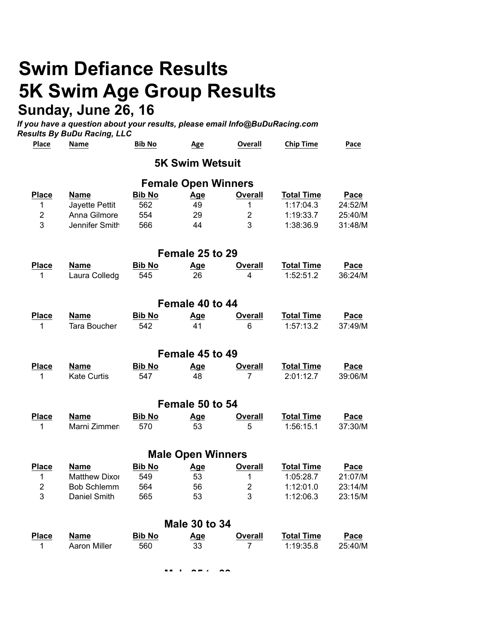## **Swim Defiance Results 5K Swim Age Group Results Sunday, June 26, 16**

*If you have a question about your results, please email Info@BuDuRacing.com Results By BuDu Racing, LLC*

| Place           | <b>Name</b>          | <b>Bib No</b> | <u>Age</u>                 | <b>Overall</b> | <b>Chip Time</b>  | Pace        |  |  |  |  |
|-----------------|----------------------|---------------|----------------------------|----------------|-------------------|-------------|--|--|--|--|
|                 |                      |               | <b>5K Swim Wetsuit</b>     |                |                   |             |  |  |  |  |
|                 |                      |               | <b>Female Open Winners</b> |                |                   |             |  |  |  |  |
| <b>Place</b>    | <b>Name</b>          | <b>Bib No</b> | <u>Age</u>                 | <b>Overall</b> | <b>Total Time</b> | Pace        |  |  |  |  |
| 1               | Jayette Pettit       | 562           | 49                         | 1              | 1:17:04.3         | 24:52/M     |  |  |  |  |
| $\overline{2}$  | Anna Gilmore         | 554           | 29                         | $\overline{2}$ | 1:19:33.7         | 25:40/M     |  |  |  |  |
| 3               | Jennifer Smith       | 566           | 44                         | 3              | 1:38:36.9         | 31:48/M     |  |  |  |  |
| Female 25 to 29 |                      |               |                            |                |                   |             |  |  |  |  |
| <b>Place</b>    | <b>Name</b>          | <b>Bib No</b> | <b>Age</b>                 | <b>Overall</b> | <b>Total Time</b> | Pace        |  |  |  |  |
| 1               | Laura Colledg        | 545           | 26                         | 4              | 1:52:51.2         | 36:24/M     |  |  |  |  |
|                 |                      |               |                            |                |                   |             |  |  |  |  |
| Female 40 to 44 |                      |               |                            |                |                   |             |  |  |  |  |
| <b>Place</b>    | Name                 | <b>Bib No</b> | <b>Age</b>                 | <b>Overall</b> | <b>Total Time</b> | Pace        |  |  |  |  |
| 1               | <b>Tara Boucher</b>  | 542           | 41                         | 6              | 1:57:13.2         | 37:49/M     |  |  |  |  |
|                 |                      |               |                            |                |                   |             |  |  |  |  |
|                 |                      |               | Female 45 to 49            |                |                   |             |  |  |  |  |
| <b>Place</b>    | <b>Name</b>          | <b>Bib No</b> | <b>Age</b>                 | <b>Overall</b> | <b>Total Time</b> | Pace        |  |  |  |  |
| 1               | Kate Curtis          | 547           | 48                         | 7              | 2:01:12.7         | 39:06/M     |  |  |  |  |
|                 |                      |               | Female 50 to 54            |                |                   |             |  |  |  |  |
| <b>Place</b>    | <b>Name</b>          | <b>Bib No</b> | Age                        | <b>Overall</b> | <b>Total Time</b> | <b>Pace</b> |  |  |  |  |
| 1               | Marni Zimmer         | 570           | 53                         | 5              | 1:56:15.1         | 37:30/M     |  |  |  |  |
|                 |                      |               |                            |                |                   |             |  |  |  |  |
|                 |                      |               | <b>Male Open Winners</b>   |                |                   |             |  |  |  |  |
| <b>Place</b>    | <b>Name</b>          | <b>Bib No</b> | Age                        | <b>Overall</b> | <b>Total Time</b> | Pace        |  |  |  |  |
| 1               | <b>Matthew Dixor</b> | 549           | 53                         | 1              | 1:05:28.7         | 21:07/M     |  |  |  |  |
| $\overline{2}$  | <b>Bob Schlemm</b>   | 564           | 56                         | $\overline{2}$ | 1:12:01.0         | 23:14/M     |  |  |  |  |
| 3               | Daniel Smith         | 565           | 53                         | 3              | 1:12:06.3         | 23:15/M     |  |  |  |  |
|                 |                      |               | <b>Male 30 to 34</b>       |                |                   |             |  |  |  |  |
|                 |                      |               |                            |                |                   |             |  |  |  |  |
| <b>Place</b>    | <b>Name</b>          | <b>Bib No</b> | <u>Age</u>                 | <b>Overall</b> | <b>Total Time</b> | Pace        |  |  |  |  |
| 1               | <b>Aaron Miller</b>  | 560           | 33                         | 7              | 1:19:35.8         | 25:40/M     |  |  |  |  |

**Male 35 to 39**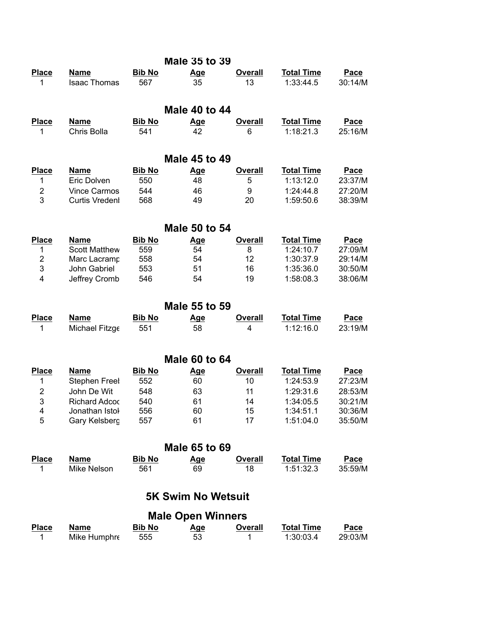|                |                       |               | <b>Male 35 to 39</b>      |                |                   |             |
|----------------|-----------------------|---------------|---------------------------|----------------|-------------------|-------------|
| <b>Place</b>   | <b>Name</b>           | <b>Bib No</b> | <u>Age</u>                | <b>Overall</b> | <b>Total Time</b> | Pace        |
| 1              | <b>Isaac Thomas</b>   | 567           | 35                        | 13             | 1:33:44.5         | 30:14/M     |
|                |                       |               | Male 40 to 44             |                |                   |             |
| <b>Place</b>   | <b>Name</b>           | <b>Bib No</b> | <u>Age</u>                | <b>Overall</b> | <b>Total Time</b> | Pace        |
| 1              | Chris Bolla           | 541           | 42                        | 6              | 1:18:21.3         | 25:16/M     |
|                |                       |               | Male 45 to 49             |                |                   |             |
| <b>Place</b>   | Name                  | <b>Bib No</b> | <u>Age</u>                | <b>Overall</b> | <b>Total Time</b> | Pace        |
| 1              | Eric Dolven           | 550           | 48                        | 5              | 1:13:12.0         | 23:37/M     |
| $\overline{2}$ | <b>Vince Carmos</b>   | 544           | 46                        | 9              | 1:24:44.8         | 27:20/M     |
| 3              | <b>Curtis Vredenl</b> | 568           | 49                        | 20             | 1:59:50.6         | 38:39/M     |
|                |                       |               | <b>Male 50 to 54</b>      |                |                   |             |
| Place          | Name                  | <b>Bib No</b> | <u>Age</u>                | Overall        | <b>Total Time</b> | Pace        |
| 1              | <b>Scott Matthew</b>  | 559           | 54                        | 8              | 1:24:10.7         | 27:09/M     |
| $\mathbf 2$    | Marc Lacramp          | 558           | 54                        | 12             | 1:30:37.9         | 29:14/M     |
| 3              | John Gabriel          | 553           | 51                        | 16             | 1:35:36.0         | 30:50/M     |
| 4              | Jeffrey Cromb         | 546           | 54                        | 19             | 1:58:08.3         | 38:06/M     |
|                |                       |               | <b>Male 55 to 59</b>      |                |                   |             |
| <b>Place</b>   | <b>Name</b>           | <b>Bib No</b> | <u>Age</u>                | <b>Overall</b> | <b>Total Time</b> | Pace        |
| 1              | Michael Fitzge        | 551           | 58                        | 4              | 1:12:16.0         | 23:19/M     |
|                |                       |               | <b>Male 60 to 64</b>      |                |                   |             |
| <b>Place</b>   | <b>Name</b>           | <b>Bib No</b> | <u>Age</u>                | <b>Overall</b> | <b>Total Time</b> | <b>Pace</b> |
| 1              | <b>Stephen Freel</b>  | 552           | 60                        | 10             | 1:24:53.9         | 27:23/M     |
| $\overline{2}$ | John De Wit           | 548           | 63                        | 11             | 1:29:31.6         | 28:53/M     |
| 3              | <b>Richard Adcod</b>  | 540           | 61                        | 14             | 1:34:05.5         | 30:21/M     |
| 4              | Jonathan Istol        | 556           | 60                        | 15             | 1:34:51.1         | 30:36/M     |
| 5              | Gary Kelsberg         | 557           | 61                        | 17             | 1:51:04.0         | 35:50/M     |
|                |                       |               | <b>Male 65 to 69</b>      |                |                   |             |
| <b>Place</b>   | <b>Name</b>           | <b>Bib No</b> | <u>Age</u>                | <b>Overall</b> | <b>Total Time</b> | Pace        |
| 1              | Mike Nelson           | 561           | 69                        | 18             | 1:51:32.3         | 35:59/M     |
|                |                       |               | <b>5K Swim No Wetsuit</b> |                |                   |             |
|                |                       |               | <b>Male Open Winners</b>  |                |                   |             |
| <b>Place</b>   | <b>Name</b>           | <b>Bib No</b> | <u>Age</u>                | <b>Overall</b> | <b>Total Time</b> | Pace        |
| 1              | Mike Humphre          | 555           | 53                        | 1              | 1:30:03.4         | 29:03/M     |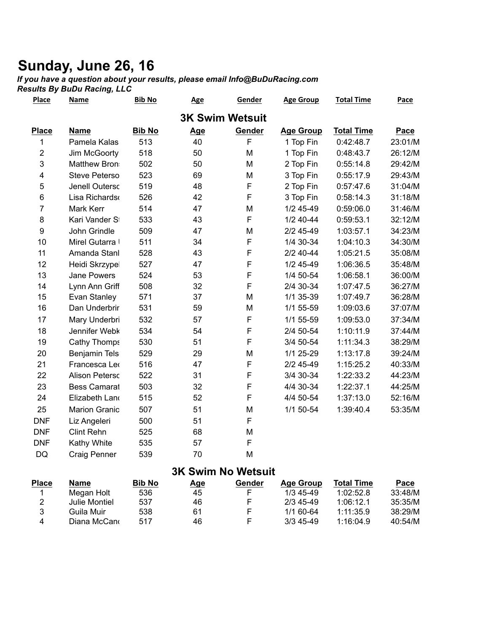### **Sunday, June 26, 16**

*If you have a question about your results, please email Info@BuDuRacing.com*

*Results By BuDu Racing, LLC*

| <b>Place</b>            | Name                  | <b>Bib No</b> | <b>Age</b> | Gender                 | <b>Age Group</b> | <b>Total Time</b> | Pace    |
|-------------------------|-----------------------|---------------|------------|------------------------|------------------|-------------------|---------|
|                         |                       |               |            | <b>3K Swim Wetsuit</b> |                  |                   |         |
| <b>Place</b>            | <b>Name</b>           | <b>Bib No</b> | Age        | Gender                 | <b>Age Group</b> | <b>Total Time</b> | Pace    |
| 1                       | Pamela Kalas          | 513           | 40         | F                      | 1 Top Fin        | 0:42:48.7         | 23:01/M |
| $\mathbf 2$             | Jim McGoorty          | 518           | 50         | M                      | 1 Top Fin        | 0:48:43.7         | 26:12/M |
| 3                       | Matthew Bron          | 502           | 50         | M                      | 2 Top Fin        | 0:55:14.8         | 29:42/M |
| $\overline{\mathbf{4}}$ | <b>Steve Peterso</b>  | 523           | 69         | M                      | 3 Top Fin        | 0:55:17.9         | 29:43/M |
| 5                       | Jenell Outersc        | 519           | 48         | F                      | 2 Top Fin        | 0:57:47.6         | 31:04/M |
| 6                       | Lisa Richards         | 526           | 42         | F                      | 3 Top Fin        | 0:58:14.3         | 31:18/M |
| $\overline{7}$          | Mark Kerr             | 514           | 47         | M                      | 1/2 45-49        | 0:59:06.0         | 31:46/M |
| 8                       | Kari Vander St        | 533           | 43         | F                      | $1/2$ 40-44      | 0:59:53.1         | 32:12/M |
| $\boldsymbol{9}$        | John Grindle          | 509           | 47         | M                      | 2/2 45-49        | 1:03:57.1         | 34:23/M |
| 10                      | Mirel Gutarra I       | 511           | 34         | F                      | 1/4 30-34        | 1:04:10.3         | 34:30/M |
| 11                      | Amanda Stanl          | 528           | 43         | F                      | 2/2 40-44        | 1:05:21.5         | 35:08/M |
| 12                      | Heidi Skrzypel        | 527           | 47         | F                      | 1/2 45-49        | 1:06:36.5         | 35:48/M |
| 13                      | <b>Jane Powers</b>    | 524           | 53         | F                      | 1/4 50-54        | 1:06:58.1         | 36:00/M |
| 14                      | Lynn Ann Griff        | 508           | 32         | F                      | 2/4 30-34        | 1:07:47.5         | 36:27/M |
| 15                      | Evan Stanley          | 571           | 37         | M                      | 1/1 35-39        | 1:07:49.7         | 36:28/M |
| 16                      | Dan Underbrir         | 531           | 59         | M                      | 1/1 55-59        | 1:09:03.6         | 37:07/M |
| 17                      | Mary Underbri         | 532           | 57         | F                      | 1/1 55-59        | 1:09:53.0         | 37:34/M |
| 18                      | Jennifer Webk         | 534           | 54         | F                      | 2/4 50-54        | 1:10:11.9         | 37:44/M |
| 19                      | Cathy Thomps          | 530           | 51         | F                      | 3/4 50-54        | 1:11:34.3         | 38:29/M |
| 20                      | Benjamin Tels         | 529           | 29         | M                      | 1/1 25-29        | 1:13:17.8         | 39:24/M |
| 21                      | Francesca Leo         | 516           | 47         | F                      | $2/2$ 45-49      | 1:15:25.2         | 40:33/M |
| 22                      | <b>Alison Petersc</b> | 522           | 31         | F                      | 3/4 30-34        | 1:22:33.2         | 44:23/M |
| 23                      | <b>Bess Camarat</b>   | 503           | 32         | F                      | 4/4 30-34        | 1:22:37.1         | 44:25/M |
| 24                      | Elizabeth Land        | 515           | 52         | F                      | 4/4 50-54        | 1:37:13.0         | 52:16/M |
| 25                      | <b>Marion Granic</b>  | 507           | 51         | M                      | 1/1 50-54        | 1:39:40.4         | 53:35/M |
| <b>DNF</b>              | Liz Angeleri          | 500           | 51         | F                      |                  |                   |         |
| <b>DNF</b>              | <b>Clint Rehn</b>     | 525           | 68         | M                      |                  |                   |         |
| <b>DNF</b>              | Kathy White           | 535           | 57         | F                      |                  |                   |         |
| DQ                      | <b>Craig Penner</b>   | 539           | 70         | M                      |                  |                   |         |
|                         |                       |               |            |                        |                  |                   |         |

#### **3K Swim No Wetsuit**

| Place | Name          | <b>Bib No</b> | Age | Gender | <b>Age Group</b> | Total Time | Pace    |
|-------|---------------|---------------|-----|--------|------------------|------------|---------|
|       | Megan Holt    | 536           | 45  |        | 1/3 45 49        | 1:02:52.8  | 33:48/M |
|       | Julie Montiel | 537           | 46  |        | 2/3 45 49        | 1:06:12.1  | 35:35/M |
| ર     | Guila Muir    | 538           | 61  |        | 1/1 60-64        | 1.11.35.9  | 38:29/M |
| 4     | Diana McCano  | 517           | 46  |        | $3/3$ 45-49      | 1:16:04.9  | 40:54/M |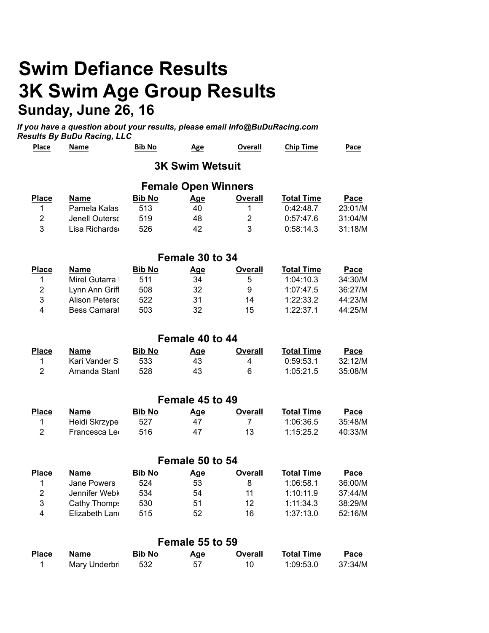## **Swim Defiance Results 3K Swim Age Group Results Sunday, June 26, 16**

*If you have a question about your results, please email Info@BuDuRacing.com Results By BuDu Racing, LLC*

| <b>Place</b>            | Name                  | <b>Bib No</b> | <u>Age</u>                 | Overall        | <b>Chip Time</b>  | Pace    |
|-------------------------|-----------------------|---------------|----------------------------|----------------|-------------------|---------|
|                         |                       |               | <b>3K Swim Wetsuit</b>     |                |                   |         |
|                         |                       |               | <b>Female Open Winners</b> |                |                   |         |
| <b>Place</b>            | <b>Name</b>           | <b>Bib No</b> | <b>Age</b>                 | <b>Overall</b> | <b>Total Time</b> | Pace    |
| 1                       | Pamela Kalas          | 513           | 40                         | 1              | 0:42:48.7         | 23:01/M |
| $\overline{2}$          | Jenell Outersc        | 519           | 48                         | $\overline{2}$ | 0:57:47.6         | 31:04/M |
| 3                       | Lisa Richards         | 526           | 42                         | 3              | 0:58:14.3         | 31:18/M |
|                         |                       |               | Female 30 to 34            |                |                   |         |
| <b>Place</b>            | <b>Name</b>           | <b>Bib No</b> | Age                        | <b>Overall</b> | <b>Total Time</b> | Pace    |
| 1                       | Mirel Gutarra I       | 511           | 34                         | 5              | 1:04:10.3         | 34:30/M |
| $\overline{2}$          | Lynn Ann Griff        | 508           | 32                         | 9              | 1:07:47.5         | 36:27/M |
| 3                       | <b>Alison Peterso</b> | 522           | 31                         | 14             | 1:22:33.2         | 44:23/M |
| $\overline{\mathbf{4}}$ | <b>Bess Camarat</b>   | 503           | 32                         | 15             | 1:22:37.1         | 44:25/M |
|                         |                       |               | Female 40 to 44            |                |                   |         |
| <b>Place</b>            | <b>Name</b>           | <b>Bib No</b> | <b>Age</b>                 | <b>Overall</b> | <b>Total Time</b> | Pace    |
| 1                       | Kari Vander St        | 533           | 43                         | 4              | 0:59:53.1         | 32:12/M |
| $\overline{2}$          | Amanda Stanl          | 528           | 43                         | 6              | 1:05:21.5         | 35:08/M |
|                         |                       |               | Female 45 to 49            |                |                   |         |
| <b>Place</b>            | <b>Name</b>           | <b>Bib No</b> | <b>Age</b>                 | <b>Overall</b> | <b>Total Time</b> | Pace    |
| 1                       | Heidi Skrzypel        | 527           | 47                         | 7              | 1:06:36.5         | 35:48/M |
| $\overline{2}$          | Francesca Leo         | 516           | 47                         | 13             | 1:15:25.2         | 40:33/M |
|                         |                       |               | Female 50 to 54            |                |                   |         |
| <b>Place</b>            | <b>Name</b>           | <b>Bib No</b> | <u>Age</u>                 | <b>Overall</b> | <b>Total Time</b> | Pace    |
| 1                       | Jane Powers           | 524           | 53                         | 8              | 1:06:58.1         | 36:00/M |
| $\mathbf 2$             | Jennifer Webk         | 534           | 54                         | 11             | 1:10:11.9         | 37:44/M |
| 3                       | <b>Cathy Thomps</b>   | 530           | 51                         | 12             | 1:11:34.3         | 38:29/M |

|              | Female 55 to 59 |               |     |         |            |         |  |  |  |
|--------------|-----------------|---------------|-----|---------|------------|---------|--|--|--|
| <b>Place</b> | Name            | <b>Bib No</b> | Age | Overall | Total Time | Pace    |  |  |  |
|              | Mary Underbri   | 532           | 57  | 10      | 1:09:53.0  | 37:34/M |  |  |  |

4 Elizabeth Landra 515 52 52 16 1:37:13.0 52:16/M